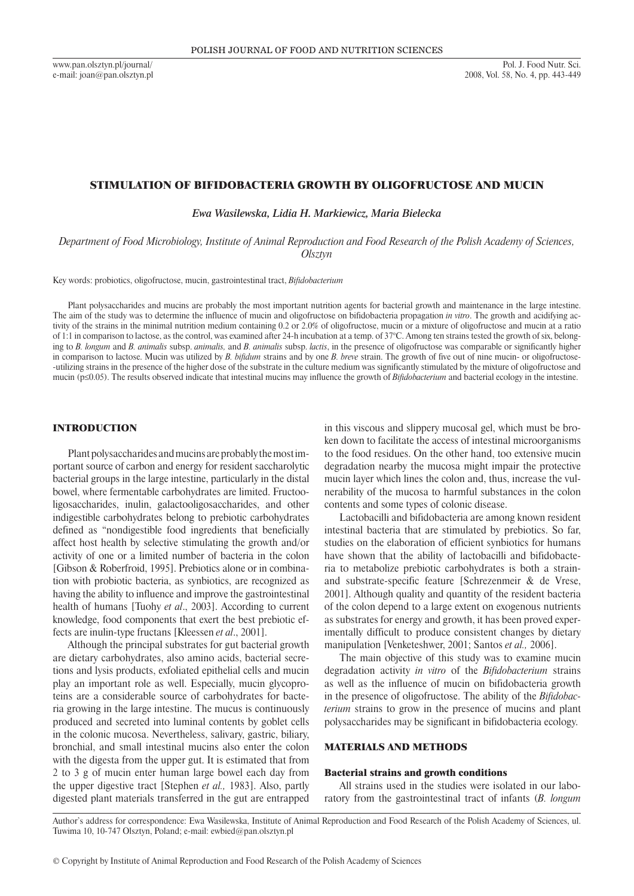www.pan.olsztyn.pl/journal/ e-mail: joan@pan.olsztyn.pl

## Stimulation of bifidobacteria growth by oligofructose and mucin

*Ewa Wasilewska, Lidia H. Markiewicz, Maria Bielecka*

*Department of Food Microbiology, Institute of Animal Reproduction and Food Research of the Polish Academy of Sciences, Olsztyn*

Key words: probiotics, oligofructose, mucin, gastrointestinal tract, *Bifidobacterium*

Plant polysaccharides and mucins are probably the most important nutrition agents for bacterial growth and maintenance in the large intestine. The aim of the study was to determine the influence of mucin and oligofructose on bifidobacteria propagation *in vitro*. The growth and acidifying activity of the strains in the minimal nutrition medium containing 0.2 or 2.0% of oligofructose, mucin or a mixture of oligofructose and mucin at a ratio of 1:1 in comparison to lactose, as the control, was examined after 24-h incubation at a temp. of 37°C. Among ten strains tested the growth of six, belonging to *B. longum* and *B. animalis* subsp. *animalis,* and *B. animalis* subsp. *lactis*, in the presence of oligofructose was comparable or significantly higher in comparison to lactose. Mucin was utilized by *B. bifidum* strains and by one *B. breve* strain. The growth of five out of nine mucin- or oligofructose- -utilizing strains in the presence of the higher dose of the substrate in the culture medium was significantly stimulated by the mixture of oligofructose and mucin (p≤0.05). The results observed indicate that intestinal mucins may influence the growth of *Bifidobacterium* and bacterial ecology in the intestine.

## INTRODUCTION

Plant polysaccharides and mucins are probably themost important source of carbon and energy for resident saccharolytic bacterial groups in the large intestine, particularly in the distal bowel, where fermentable carbohydrates are limited. Fructooligosaccharides, inulin, galactooligosaccharides, and other indigestible carbohydrates belong to prebiotic carbohydrates defined as "nondigestible food ingredients that beneficially affect host health by selective stimulating the growth and/or activity of one or a limited number of bacteria in the colon [Gibson & Roberfroid, 1995]. Prebiotics alone or in combination with probiotic bacteria, as synbiotics, are recognized as having the ability to influence and improve the gastrointestinal health of humans [Tuohy *et al*., 2003]. According to current knowledge, food components that exert the best prebiotic effects are inulin-type fructans [Kleessen *et al*., 2001].

Although the principal substrates for gut bacterial growth are dietary carbohydrates, also amino acids, bacterial secretions and lysis products, exfoliated epithelial cells and mucin play an important role as well. Especially, mucin glycoproteins are a considerable source of carbohydrates for bacteria growing in the large intestine. The mucus is continuously produced and secreted into luminal contents by goblet cells in the colonic mucosa. Nevertheless, salivary, gastric, biliary, bronchial, and small intestinal mucins also enter the colon with the digesta from the upper gut. It is estimated that from 2 to 3 g of mucin enter human large bowel each day from the upper digestive tract [Stephen *et al.,* 1983]. Also, partly digested plant materials transferred in the gut are entrapped

in this viscous and slippery mucosal gel, which must be broken down to facilitate the access of intestinal microorganisms to the food residues. On the other hand, too extensive mucin degradation nearby the mucosa might impair the protective mucin layer which lines the colon and, thus, increase the vulnerability of the mucosa to harmful substances in the colon contents and some types of colonic disease.

Lactobacilli and bifidobacteria are among known resident intestinal bacteria that are stimulated by prebiotics. So far, studies on the elaboration of efficient synbiotics for humans have shown that the ability of lactobacilli and bifidobacteria to metabolize prebiotic carbohydrates is both a strainand substrate-specific feature [Schrezenmeir & de Vrese, 2001]. Although quality and quantity of the resident bacteria of the colon depend to a large extent on exogenous nutrients as substrates for energy and growth, it has been proved experimentally difficult to produce consistent changes by dietary manipulation [Venketeshwer, 2001; Santos *et al.,* 2006].

The main objective of this study was to examine mucin degradation activity *in vitro* of the *Bifidobacterium* strains as well as the influence of mucin on bifidobacteria growth in the presence of oligofructose. The ability of the *Bifidobacterium* strains to grow in the presence of mucins and plant polysaccharides may be significant in bifidobacteria ecology.

#### MATERIALS AND METHODS

#### Bacterial strains and growth conditions

All strains used in the studies were isolated in our laboratory from the gastrointestinal tract of infants (*B. longum*

Author's address for correspondence: Ewa Wasilewska, Institute of Animal Reproduction and Food Research of the Polish Academy of Sciences, ul. Tuwima 10, 10-747 Olsztyn, Poland; e-mail: ewbied@pan.olsztyn.pl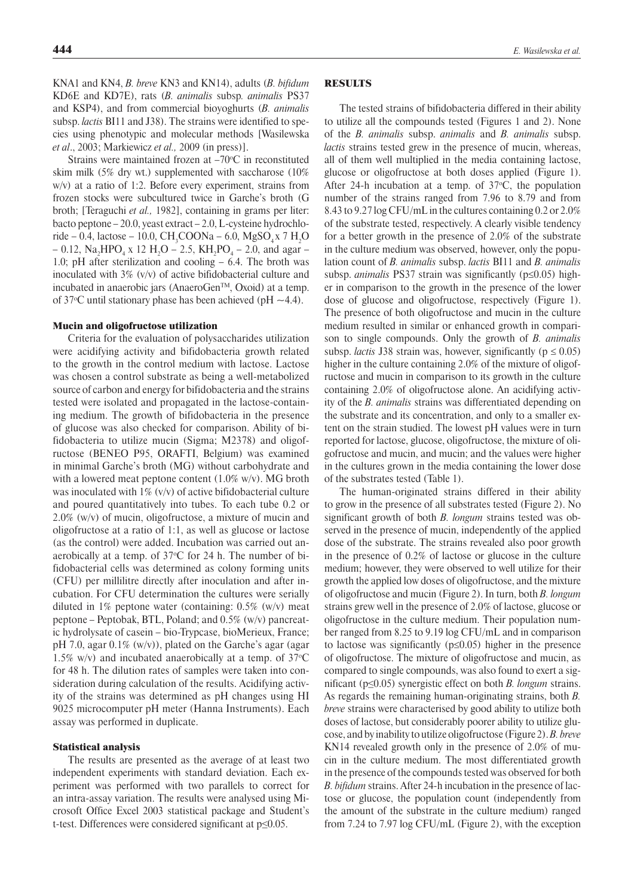KNA1 and KN4, *B. breve* KN3 and KN14), adults (*B. bifidum* KD6E and KD7E), rats (*B. animalis* subsp*. animalis* PS37 and KSP4), and from commercial bioyoghurts (*B. animalis*  subsp. *lactis* BI11 and J38). The strains were identified to species using phenotypic and molecular methods [Wasilewska *et al*., 2003; Markiewicz *et al.,* 2009 (in press)].

Strains were maintained frozen at  $-70^{\circ}$ C in reconstituted skim milk (5% dry wt.) supplemented with saccharose (10% w/v) at a ratio of 1:2. Before every experiment, strains from frozen stocks were subcultured twice in Garche's broth (G broth; [Teraguchi *et al.,* 1982], containing in grams per liter: bacto peptone – 20.0, yeast extract – 2.0, L-cysteine hydrochloride – 0.4, lactose – 10.0, CH<sub>3</sub>COONa – 6.0, MgSO<sub>4</sub>x 7 H<sub>2</sub>O  $-$  0.12, Na<sub>2</sub>HPO<sub>4</sub> x 12 H<sub>2</sub>O – 2.5, KH<sub>2</sub>PO<sub>4</sub> – 2.0, and agar – 1.0; pH after sterilization and cooling – 6.4. The broth was inoculated with 3% (v/v) of active bifidobacterial culture and incubated in anaerobic jars (AnaeroGen™, Oxoid) at a temp. of 37 °C until stationary phase has been achieved (pH  $\sim$ 4.4).

#### Mucin and oligofructose utilization

Criteria for the evaluation of polysaccharides utilization were acidifying activity and bifidobacteria growth related to the growth in the control medium with lactose. Lactose was chosen a control substrate as being a well-metabolized source of carbon and energy for bifidobacteria and the strains tested were isolated and propagated in the lactose-containing medium. The growth of bifidobacteria in the presence of glucose was also checked for comparison. Ability of bifidobacteria to utilize mucin (Sigma; M2378) and oligofructose (BENEO P95, ORAFTI, Belgium) was examined in minimal Garche's broth (MG) without carbohydrate and with a lowered meat peptone content  $(1.0\% \text{ w/v})$ . MG broth was inoculated with  $1\%$  (v/v) of active bifidobacterial culture and poured quantitatively into tubes. To each tube 0.2 or 2.0% (w/v) of mucin, oligofructose, a mixture of mucin and oligofructose at a ratio of 1:1, as well as glucose or lactose (as the control) were added. Incubation was carried out anaerobically at a temp. of  $37^{\circ}$ C for 24 h. The number of bifidobacterial cells was determined as colony forming units (CFU) per millilitre directly after inoculation and after incubation. For CFU determination the cultures were serially diluted in 1% peptone water (containing:  $0.5\%$  (w/v) meat peptone – Peptobak, BTL, Poland; and 0.5% (w/v) pancreatic hydrolysate of casein – bio-Trypcase, bioMerieux, France; pH 7.0, agar 0.1% (w/v)), plated on the Garche's agar (agar 1.5% w/v) and incubated anaerobically at a temp. of  $37^{\circ}$ C for 48 h. The dilution rates of samples were taken into consideration during calculation of the results. Acidifying activity of the strains was determined as pH changes using HI 9025 microcomputer pH meter (Hanna Instruments). Each assay was performed in duplicate.

#### Statistical analysis

The results are presented as the average of at least two independent experiments with standard deviation. Each experiment was performed with two parallels to correct for an intra-assay variation. The results were analysed using Microsoft Office Excel 2003 statistical package and Student's t -test. Differences were considered significant at p≤0.05.

### RESULTS

The tested strains of bifidobacteria differed in their ability to utilize all the compounds tested (Figures 1 and 2). None of the *B. animalis* subsp. *animalis* and *B. animalis* subsp. *lactis* strains tested grew in the presence of mucin, whereas, all of them well multiplied in the media containing lactose, glucose or oligofructose at both doses applied (Figure 1). After 24-h incubation at a temp. of  $37^{\circ}$ C, the population number of the strains ranged from 7.96 to 8.79 and from 8.43 to 9.27 log CFU/mL in the cultures containing 0.2 or 2.0% of the substrate tested, respectively. A clearly visible tendency for a better growth in the presence of 2.0% of the substrate in the culture medium was observed, however, only the population count of *B. animalis* subsp. *lactis* BI11 and *B. animalis*  subsp. *animalis* PS37 strain was significantly (p≤0.05) higher in comparison to the growth in the presence of the lower dose of glucose and oligofructose, respectively (Figure 1). The presence of both oligofructose and mucin in the culture medium resulted in similar or enhanced growth in comparison to single compounds. Only the growth of *B. animalis*  subsp. *lactis* J38 strain was, however, significantly ( $p \le 0.05$ ) higher in the culture containing 2.0% of the mixture of oligofructose and mucin in comparison to its growth in the culture containing 2.0% of oligofructose alone. An acidifying activity of the *B. animalis* strains was differentiated depending on the substrate and its concentration, and only to a smaller extent on the strain studied. The lowest pH values were in turn reported for lactose, glucose, oligofructose, the mixture of oligofructose and mucin, and mucin; and the values were higher in the cultures grown in the media containing the lower dose of the substrates tested (Table 1).

The human-originated strains differed in their ability to grow in the presence of all substrates tested (Figure 2). No significant growth of both *B. longum* strains tested was observed in the presence of mucin, independently of the applied dose of the substrate. The strains revealed also poor growth in the presence of 0.2% of lactose or glucose in the culture medium; however, they were observed to well utilize for their growth the applied low doses of oligofructose, and the mixture of oligofructose and mucin (Figure 2). In turn, both *B. longum*  strains grew well in the presence of 2.0% of lactose, glucose or oligofructose in the culture medium. Their population number ranged from 8.25 to 9.19 log CFU/mL and in comparison to lactose was significantly (p≤0.05) higher in the presence of oligofructose. The mixture of oligofructose and mucin, as compared to single compounds, was also found to exert a significant (p≤0.05) synergistic effect on both *B. longum* strains. As regards the remaining human-originating strains, both *B. breve* strains were characterised by good ability to utilize both doses of lactose, but considerably poorer ability to utilize glucose, and by inability to utilize oligofructose (Figure 2). *B. breve*  KN14 revealed growth only in the presence of 2.0% of mucin in the culture medium. The most differentiated growth in the presence of the compounds tested was observed for both *B. bifidum* strains. After 24-h incubation in the presence of lactose or glucose, the population count (independently from the amount of the substrate in the culture medium) ranged from 7.24 to 7.97 log CFU/mL (Figure 2), with the exception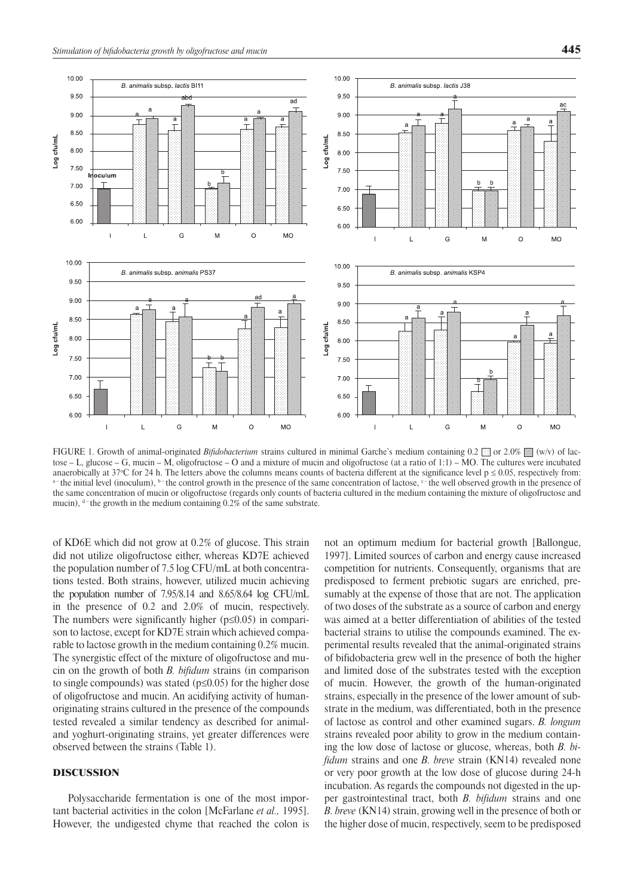

FIGURE 1. Growth of animal-originated *Bifidobacterium* strains cultured in minimal Garche's medium containing 0.2  $\frac{m}{n}$  or 2.0% (w/v) of lactose – L, glucose – G, mucin – M, oligofructose – O and a mixture of mucin and oligofructose (at a ratio of 1:1) – MO. The cultures were incubated anaerobically at 37°C for 24 h. The letters above the columns means counts of bacteria different at the significance level  $p \le 0.05$ , respectively from: the initial level (inoculum),  $b - t$  the control growth in the presence of the same concentration of lactose,  $c - t$  the well observed growth in the presence of the same concentration of mucin or oligofructose (regards only counts of bacteria cultured in the medium containing the mixture of oligofructose and mucin),  $d$ -the growth in the medium containing 0.2% of the same substrate.

of KD6E which did not grow at 0.2% of glucose. This strain did not utilize oligofructose either, whereas KD7E achieved the population number of 7.5 log CFU/mL at both concentrations tested. Both strains, however, utilized mucin achieving the population number of 7.95/8.14 and 8.65/8.64 log CFU/mL in the presence of 0.2 and 2.0% of mucin, respectively. The numbers were significantly higher ( $p \le 0.05$ ) in comparison to lactose, except for KD7E strain which achieved comparable to lactose growth in the medium containing 0.2% mucin. The synergistic effect of the mixture of oligofructose and mucin on the growth of both *B. bifidum* strains (in comparison to single compounds) was stated (p≤0.05) for the higher dose of oligofructose and mucin. An acidifying activity of humanoriginating strains cultured in the presence of the compounds tested revealed a similar tendency as described for animaland yoghurt-originating strains, yet greater differences were observed between the strains (Table 1).

### DISCUSSION

Polysaccharide fermentation is one of the most important bacterial activities in the colon [McFarlane *et al.,* 1995]. However, the undigested chyme that reached the colon is

not an optimum medium for bacterial growth [Ballongue, 1997]. Limited sources of carbon and energy cause increased competition for nutrients. Consequently, organisms that are predisposed to ferment prebiotic sugars are enriched, presumably at the expense of those that are not. The application of two doses of the substrate as a source of carbon and energy was aimed at a better differentiation of abilities of the tested bacterial strains to utilise the compounds examined. The experimental results revealed that the animal-originated strains of bifidobacteria grew well in the presence of both the higher and limited dose of the substrates tested with the exception of mucin. However, the growth of the human-originated strains, especially in the presence of the lower amount of substrate in the medium, was differentiated, both in the presence of lactose as control and other examined sugars. *B. longum*  strains revealed poor ability to grow in the medium containing the low dose of lactose or glucose, whereas, both *B. bifidum* strains and one *B. breve* strain (KN14) revealed none or very poor growth at the low dose of glucose during 24-h incubation. As regards the compounds not digested in the upper gastrointestinal tract, both *B. bifidum* strains and one *B. breve* (KN14) strain, growing well in the presence of both or the higher dose of mucin, respectively, seem to be predisposed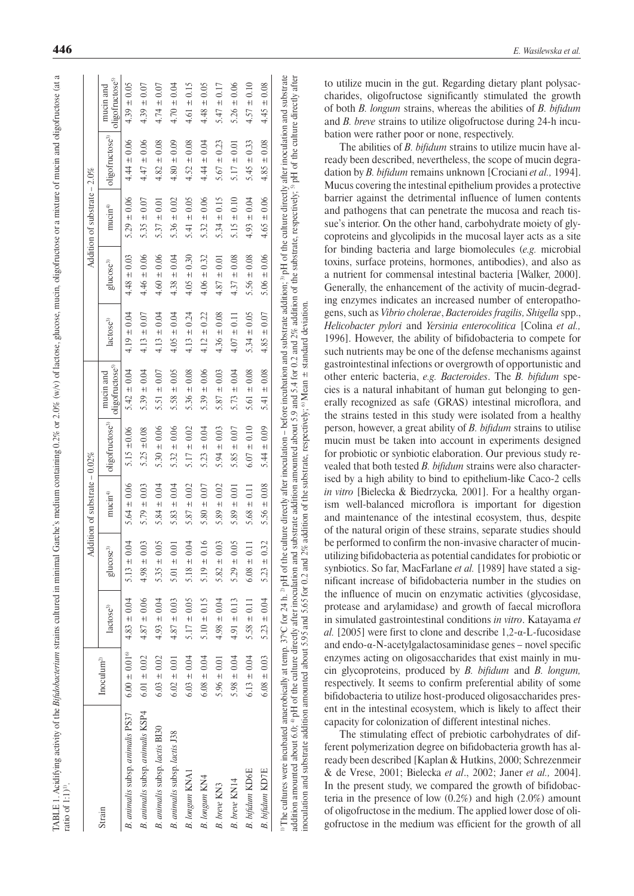| ratio of $1:1$ <sup>1</sup> <sup>1</sup> . |                              |                       |                       |                                 |                             |                                          |                       |                       |                                |                             |                                          |
|--------------------------------------------|------------------------------|-----------------------|-----------------------|---------------------------------|-----------------------------|------------------------------------------|-----------------------|-----------------------|--------------------------------|-----------------------------|------------------------------------------|
|                                            |                              |                       |                       | Addition of substrate $-0.02\%$ |                             |                                          |                       |                       | Addition of substrate $-2.0\%$ |                             |                                          |
| Strain                                     | Inoculum <sup>2)</sup>       | lactose <sup>3)</sup> | glucose <sup>3)</sup> | $mucin$ <sup>4)</sup>           | oligofructose <sup>3)</sup> | oligofructose <sup>5)</sup><br>mucin and | lactose <sup>3)</sup> | glucose <sup>3)</sup> | mucin <sup>4</sup>             | oligofructose <sup>3)</sup> | oligofructose <sup>5)</sup><br>mucin and |
| B. animalis subsp. animalis PS37           | $6.00 \pm 0.01$ <sup>o</sup> | $4.83 \pm 0.04$       | 0.04<br>$5.13 \pm$    | $5.64 \pm 0.06$                 | $\pm 0.06$<br>5.15          | $5.42 \pm 0.04$                          | $4.19 \pm 0.04$       | $4.48 \pm 0.03$       | $5.29 \pm 0.06$                | $4.44 \pm 0.06$             | $4.39 \pm 0.05$                          |
| B. animalis subsp. animalis KSP4           | $6.01 \pm 0.02$              | $4.87 \pm 0.06$       | $4.98 \pm 0.03$       | $5.79 \pm 0.03$                 | ±0.08<br>$5.25 =$           | $5.39 \pm 0.04$                          | $4.13 \pm 0.07$       | $4.46 \pm 0.06$       | 5.35 $\pm$ 0.07                | $4.47 \pm 0.06$             | $4.39 \pm 0.07$                          |
| B. animalis subsp. lactis B130             | $6.03 \pm 0.02$              | $4.93 \pm 0.04$       | $5.35 \pm 0.05$       | $5.84 \pm 0.04$                 | $5.30 \pm 0.06$             | 5.51 $\pm$ 0.07                          | $4.13 \pm 0.04$       | $4.60 \pm 0.06$       | $5.37 \pm 0.01$                | $4.82 \pm 0.08$             | $4.74 \pm 0.07$                          |
| B. animalis subsp. lactis J38              | $6.02 \pm 0.01$              | $4.87 \pm 0.03$       | 0.01<br>$5.01 \pm 1$  | $5.83 \pm 0.04$                 | $5.32 \pm 0.06$             | $5.58 \pm 0.05$                          | $4.05 \pm 0.04$       | $4.38 \pm 0.04$       | $5.36 \pm 0.02$                | $4.80 \pm 0.09$             | $4.70 \pm 0.04$                          |
| <b>B.</b> longum KNA1                      | $6.03 \pm 0.04$              | $5.17 \pm 0.05$       | 5.18 $\pm$ 0.04       | $5.87 \pm 0.02$                 | $5.17 \pm 0.02$             | $5.36 \pm 0.08$                          | ± 0.24<br>4.13:       | $4.05 \pm 0.30$       | $5.41 \pm 0.05$                | $4.52 \pm 0.08$             | $4.61 \pm 0.15$                          |
| B. longum KN4                              | $6.08 \pm 0.04$              | $5.10 \pm 0.15$       | 0.16<br>$5.19 \pm 0$  | $5.80 \pm 0.07$                 | $5.23 \pm 0.04$             | $5.39 \pm 0.06$                          | $4.12 \pm 0.22$       | $4.06 \pm 0.32$       | $5.32 \pm 0.06$                | $4.44 \pm 0.04$             | $4.48 \pm 0.05$                          |
| <b>B.</b> breve KN3                        | $5.96 \pm 0.01$              | $4.98 \pm 0.04$       | 0.03<br>$5.82 \pm 1$  | $5.89 \pm 0.02$                 | $5.94 \pm 0.03$             | $5.87 \pm 0.03$                          | $4.36 \pm 0.08$       | $4.87 \pm 0.01$       | $5.34 \pm 0.15$                | $5.67 \pm 0.23$             | $5.47 \pm 0.17$                          |
| <b>B.</b> breve KN14                       | $5.98 \pm 0.04$              | $4.91 \pm 0.13$       | 0.05<br>$5.29 \pm 0$  | $5.89 \pm 0.01$                 | $5.85 \pm 0.07$             | $5.73 \pm 0.04$                          | $4.07 \pm 0.11$       | $4.37 \pm 0.08$       | $5.15 \pm 0.10$                | $5.17 \pm 0.01$             | $5.26 \pm 0.06$                          |
| B. bifidum KD6E                            | $6.13 \pm 0.04$              | $5.58 \pm 0.11$       | $6.08 \pm 0.11$       | $5.68 \pm 0.11$                 | $6.07 \pm 0.10$             | $5.61 \pm 0.08$                          | $5.34 \pm 0.05$       | $5.56 \pm 0.08$       | $4.93 \pm 0.04$                | $5.45 \pm 0.33$             | $4.57 \pm 0.10$                          |
| <b>B.</b> bifidum KD7E                     | $6.08 \pm 0.03$              | $5.23 \pm 0.04$       | $5.23 \pm 0.32$       | $5.56 \pm 0.08$                 | $5.44 \pm 0.09$             | $5.41 \pm 0.08$                          | $4.85 \pm 0.07$       | $5.06 \pm 0.06$       | $4.65 \pm 0.06$                | $4.85 \pm 0.08$             | $4.45 \pm 0.08$                          |

The cultures were incubated anaerobically at temp. 37°C for 24 h. <sup>2</sup> pH of the culture directly after inoculation – before incubation and substrate addition; <sup>2</sup> pH of the culture directly after inoculation and substrate <sup>1</sup> The cultures were incubated anaerobically at temp. 37 $\degree$ C for 24 h. <sup>2</sup>) pH of the culture directly after inoculation – before incubation and substrate addition; <sup>3</sup>) pH of the culture directly after inoculation and addition amounted about 6.0;  $\Phi$  pH of the culture directly after inoculation and substrate addition amounted about 5.9 and 5.4 for 0.2 and 2% addition of the substrate, respectively;  $\Phi$  pH of the culture directly afte addition amounted about 6.0; <sup>4</sup>pH of the culture directly after inoculation and substrate addition amounted about 5.9 and 5.4 for 0.2 and 2% addition of the substrate, respectively; <sup>2</sup>pH of the culture directly after noculation and substrate addition amounted about 5.95 and 5.65 for 0.2 and 2% addition of the substrate, respectively; <sup>6</sup>Mean  $\pm$  standard deviation. inoculation and substrate addition amounted about 5.95 and 5.65 for 0.2 and 2% addition of the substrate, respectively; 6) Mean ± standard deviation.

to utilize mucin in the gut. Regarding dietary plant polysac charides, oligofructose significantly stimulated the growth of both *B. longum* strains, whereas the abilities of *B. bifidum*  and *B. breve* strains to utilize oligofructose during 24-h incu bation were rather poor or none, respectively.

The abilities of *B. bifidum* strains to utilize mucin have al ready been described, nevertheless, the scope of mucin degra dation by *B. bifidum* remains unknown [Crociani *et al.,* 1994]. Mucus covering the intestinal epithelium provides a protective barrier against the detrimental influence of lumen contents and pathogens that can penetrate the mucosa and reach tis sue's interior. On the other hand, carbohydrate moiety of gly coproteins and glycolipids in the mucosal layer acts as a site for binding bacteria and large biomolecules (*e.g.* microbial toxins, surface proteins, hormones, antibodies), and also as a nutrient for commensal intestinal bacteria [Walker, 2000]. Generally, the enhancement of the activity of mucin-degrad ing enzymes indicates an increased number of enteropatho gens, such as *Vibrio cholerae*, *Bacteroides fragilis, Shigella* spp., *Helicobacter pylori* and *Yersinia enterocolitica* [Colina *et al.,* 1996]. However, the ability of bifidobacteria to compete for such nutrients may be one of the defense mechanisms against gastrointestinal infections or overgrowth of opportunistic and other enteric bacteria, *e.g. Bacteroides*. The *B. bifidum* spe cies is a natural inhabitant of human gut belonging to gen erally recognized as safe (GRAS) intestinal microflora, and the strains tested in this study were isolated from a healthy person, however, a great ability of *B. bifidum* strains to utilise mucin must be taken into account in experiments designed for probiotic or synbiotic elaboration. Our previous study re vealed that both tested *B. bifidum* strains were also character ised by a high ability to bind to epithelium-like Caco - 2 cells *in vitro* [Bielecka & Biedrzycka*,* 2001]. For a healthy organ ism well-balanced microflora is important for digestion and maintenance of the intestinal ecosystem, thus, despite of the natural origin of these strains, separate studies should be performed to confirm the non-invasive character of mucinutilizing bifidobacteria as potential candidates for probiotic or synbiotics. So far, MacFarlane *et al.* [1989] have stated a sig nificant increase of bifidobacteria number in the studies on the influence of mucin on enzymatic activities (glycosidase, protease and arylamidase) and growth of faecal microflora in simulated gastrointestinal conditions *in vitro*. Katayama *et*   $al.$  [2005] were first to clone and describe  $1,2$ - $\alpha$ -L-fucosidase and endo-α-N-acetylgalactosaminidase genes – novel specific enzymes acting on oligosaccharides that exist mainly in mu cin glycoproteins, produced by *B. bifidum* and *B. longum,*  respectively. It seems to confirm preferential ability of some bifidobacteria to utilize host-produced oligosaccharides pres ent in the intestinal ecosystem, which is likely to affect their capacity for colonization of different intestinal niches.

The stimulating effect of prebiotic carbohydrates of dif ferent polymerization degree on bifidobacteria growth has al ready been described [Kaplan & Hutkins, 2000; Schrezenmeir & de Vrese, 2001; Bielecka *et al*., 2002; Janer *et al.,* 2004]. In the present study, we compared the growth of bifidobac teria in the presence of low (0.2%) and high (2.0%) amount of oligofructose in the medium. The applied lower dose of oli gofructose in the medium was efficient for the growth of all

Table 1. Acidifying activity of the *Bifidobacterium* strains cultured in minimal Garche's medium containing 0.2% or 2.0% (w/v) of lactose, glucose, mucin, oligofructose or a mixture of mucin and oligofructose (at a

TABLE 1. Acidifying activity of the *Bifidobacterium* strains cultured in minimal Garche's medium containing 0.2% or 2.0% (w/v) of lactose, glucose, mucin, oligofructose or a mixture of mucin and oligofructose (at a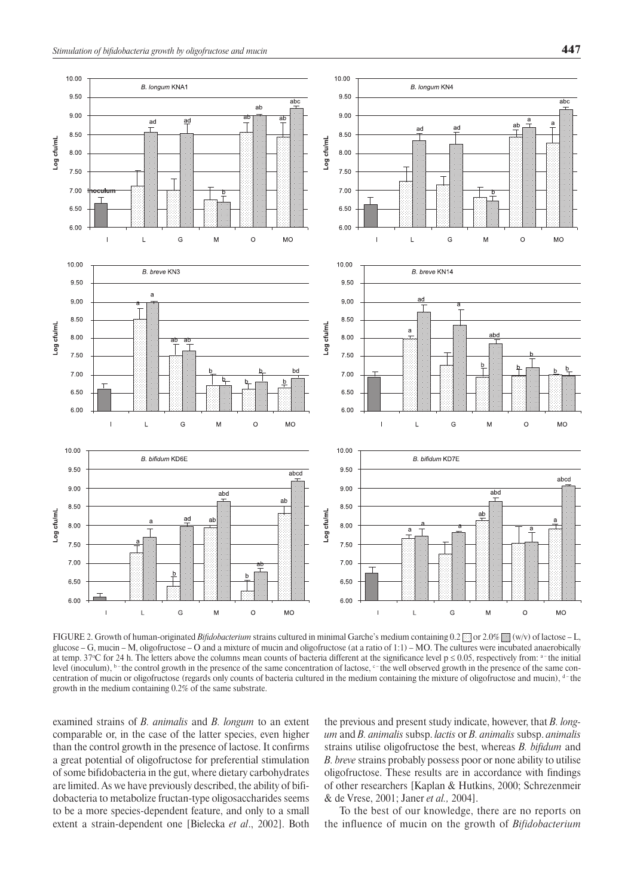

FIGURE 2. Growth of human-originated *Bifidobacterium* strains cultured in minimal Garche's medium containing 0.2 or 2.0% (w/v) of lactose – L, glucose – G, mucin – M, oligofructose – O and a mixture of mucin and oligofructose (at a ratio of  $1:1$ ) – MO. The cultures were incubated anaerobically at temp. 37 $\degree$ C for 24 h. The letters above the columns mean counts of bacteria different at the significance level  $p \le 0.05$ , respectively from:  $a$ -the initial level (inoculum),  $b$ -the control growth in the presence of the same concentration of lactose,  $c$ -the well observed growth in the presence of the same concentration of mucin or oligofructose (regards only counts of bacteria cultured in the medium containing the mixture of oligofructose and mucin), <sup>d-</sup>the growth in the medium containing 0.2% of the same substrate.

examined strains of *B. animalis* and *B. longum* to an extent comparable or, in the case of the latter species, even higher than the control growth in the presence of lactose. It confirms a great potential of oligofructose for preferential stimulation of some bifidobacteria in the gut, where dietary carbohydrates are limited. As we have previously described, the ability of bifidobacteria to metabolize fructan-type oligosaccharides seems to be a more species-dependent feature, and only to a small extent a strain-dependent one [Bielecka *et al*., 2002]. Both

the previous and present study indicate, however, that *B. longum* and *B. animalis* subsp. *lactis* or *B. animalis* subsp. *animalis*  strains utilise oligofructose the best, whereas *B. bifidum* and *B. breve* strains probably possess poor or none ability to utilise oligofructose. These results are in accordance with findings of other researchers [Kaplan & Hutkins, 2000; Schrezenmeir & de Vrese, 2001; Janer *et al.,* 2004].

To the best of our knowledge, there are no reports on the influence of mucin on the growth of *Bifidobacterium*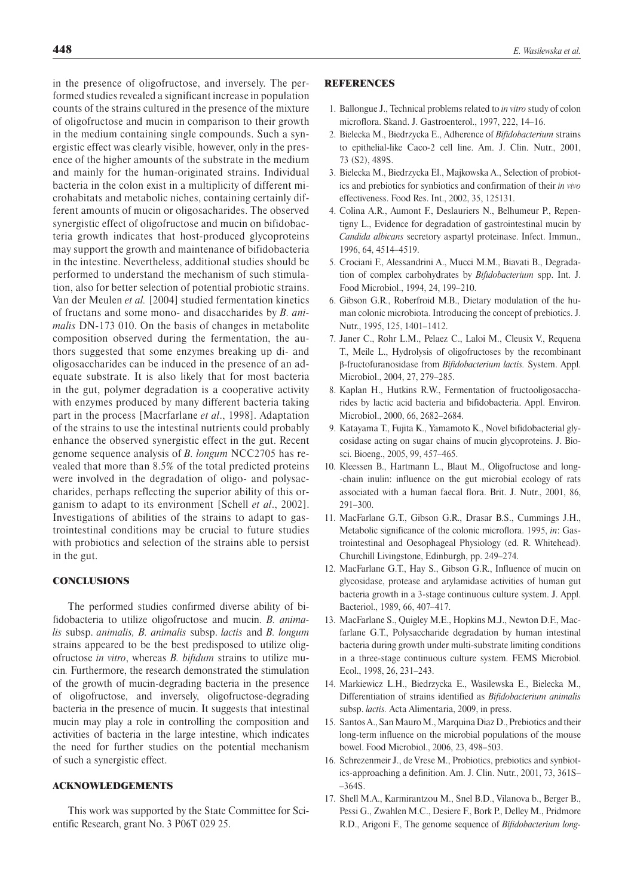in the presence of oligofructose, and inversely. The performed studies revealed a significant increase in population counts of the strains cultured in the presence of the mixture of oligofructose and mucin in comparison to their growth in the medium containing single compounds. Such a synergistic effect was clearly visible, however, only in the presence of the higher amounts of the substrate in the medium and mainly for the human-originated strains. Individual bacteria in the colon exist in a multiplicity of different microhabitats and metabolic niches, containing certainly different amounts of mucin or oligosacharides. The observed synergistic effect of oligofructose and mucin on bifidobacteria growth indicates that host-produced glycoproteins may support the growth and maintenance of bifidobacteria in the intestine. Nevertheless, additional studies should be performed to understand the mechanism of such stimulation, also for better selection of potential probiotic strains. Van der Meulen *et al.* [2004] studied fermentation kinetics of fructans and some mono- and disaccharides by *B. animalis* DN-173 010. On the basis of changes in metabolite composition observed during the fermentation, the authors suggested that some enzymes breaking up di- and oligosaccharides can be induced in the presence of an adequate substrate. It is also likely that for most bacteria in the gut, polymer degradation is a cooperative activity with enzymes produced by many different bacteria taking part in the process [Macrfarlane *et al*., 1998]. Adaptation of the strains to use the intestinal nutrients could probably enhance the observed synergistic effect in the gut. Recent genome sequence analysis of *B. longum* NCC2705 has revealed that more than 8.5% of the total predicted proteins were involved in the degradation of oligo- and polysaccharides, perhaps reflecting the superior ability of this organism to adapt to its environment [Schell *et al*., 2002]. Investigations of abilities of the strains to adapt to gastrointestinal conditions may be crucial to future studies with probiotics and selection of the strains able to persist in the gut.

# **CONCLUSIONS**

The performed studies confirmed diverse ability of bifidobacteria to utilize oligofructose and mucin. *B. animalis* subsp. *animalis, B. animalis* subsp. *lactis* and *B. longum*  strains appeared to be the best predisposed to utilize oligofructose *in vitro*, whereas *B. bifidum* strains to utilize mucin*.* Furthermore, the research demonstrated the stimulation of the growth of mucin-degrading bacteria in the presence of oligofructose, and inversely, oligofructose-degrading bacteria in the presence of mucin. It suggests that intestinal mucin may play a role in controlling the composition and activities of bacteria in the large intestine, which indicates the need for further studies on the potential mechanism of such a synergistic effect.

# ACKNOWLEDGEMENTS

This work was supported by the State Committee for Scientific Research, grant No. 3 P06T 029 25.

### REFERENCES

- 1. Ballongue J., Technical problems related to *in vitro* study of colon microflora. Skand. J. Gastroenterol., 1997, 222, 14–16.
- 2. Bielecka M., Biedrzycka E., Adherence of *Bifidobacterium* strains to epithelial-like Caco-2 cell line. Am. J. Clin. Nutr., 2001, 73 (S2), 489S.
- 3. Bielecka M., Biedrzycka El., Majkowska A., Selection of probiotics and prebiotics for synbiotics and confirmation of their *in vivo* effectiveness. Food Res. Int., 2002, 35, 125131.
- 4. Colina A.R., Aumont F., Deslauriers N., Belhumeur P., Repentigny L., Evidence for degradation of gastrointestinal mucin by *Candida albicans* secretory aspartyl proteinase. Infect. Immun., 1996, 64, 4514–4519.
- 5. Crociani F., Alessandrini A., Mucci M.M., Biavati B., Degradation of complex carbohydrates by *Bifidobacterium* spp. Int. J. Food Microbiol., 1994, 24, 199–210.
- 6. Gibson G.R., Roberfroid M.B., Dietary modulation of the human colonic microbiota. Introducing the concept of prebiotics. J. Nutr., 1995, 125, 1401–1412.
- 7. Janer C., Rohr L.M., Pelaez C., Laloi M., Cleusix V., Requena T., Meile L., Hydrolysis of oligofructoses by the recombinant β-fructofuranosidase from *Bifidobacterium lactis.* System. Appl. Microbiol., 2004, 27, 279–285.
- 8. Kaplan H., Hutkins R.W., Fermentation of fructooligosaccharides by lactic acid bacteria and bifidobacteria. Appl. Environ. Microbiol., 2000, 66, 2682–2684.
- 9. Katayama T., Fujita K., Yamamoto K., Novel bifidobacterial glycosidase acting on sugar chains of mucin glycoproteins. J. Biosci. Bioeng., 2005, 99, 457–465.
- 10. Kleessen B., Hartmann L., Blaut M., Oligofructose and long- -chain inulin: influence on the gut microbial ecology of rats associated with a human faecal flora. Brit. J. Nutr., 2001, 86, 291–300.
- 11. MacFarlane G.T., Gibson G.R., Drasar B.S., Cummings J.H., Metabolic significance of the colonic microflora. 1995, *in*: Gastrointestinal and Oesophageal Physiology (ed. R. Whitehead). Churchill Livingstone, Edinburgh, pp. 249–274.
- 12. MacFarlane G.T., Hay S., Gibson G.R., Influence of mucin on glycosidase, protease and arylamidase activities of human gut bacteria growth in a 3-stage continuous culture system. J. Appl. Bacteriol., 1989, 66, 407–417.
- 13. MacFarlane S., Quigley M.E., Hopkins M.J., Newton D.F., Macfarlane G.T., Polysaccharide degradation by human intestinal bacteria during growth under multi-substrate limiting conditions in a three-stage continuous culture system. FEMS Microbiol. Ecol., 1998, 26, 231–243.
- 14. Markiewicz L.H., Biedrzycka E., Wasilewska E., Bielecka M., Differentiation of strains identified as *Bifidobacterium animalis* subsp. *lactis.* Acta Alimentaria, 2009, in press.
- 15. Santos A., San Mauro M., Marquina Diaz D., Prebiotics and their long-term influence on the microbial populations of the mouse bowel. Food Microbiol., 2006, 23, 498–503.
- 16. Schrezenmeir J., de Vrese M., Probiotics, prebiotics and synbiotics-approaching a definition. Am. J. Clin. Nutr., 2001, 73, 361S– –364S.
- 17. Shell M.A., Karmirantzou M., Snel B.D., Vilanova b., Berger B., Pessi G., Zwahlen M.C., Desiere F., Bork P., Delley M., Pridmore R.D., Arigoni F., The genome sequence of *Bifidobacterium long-*